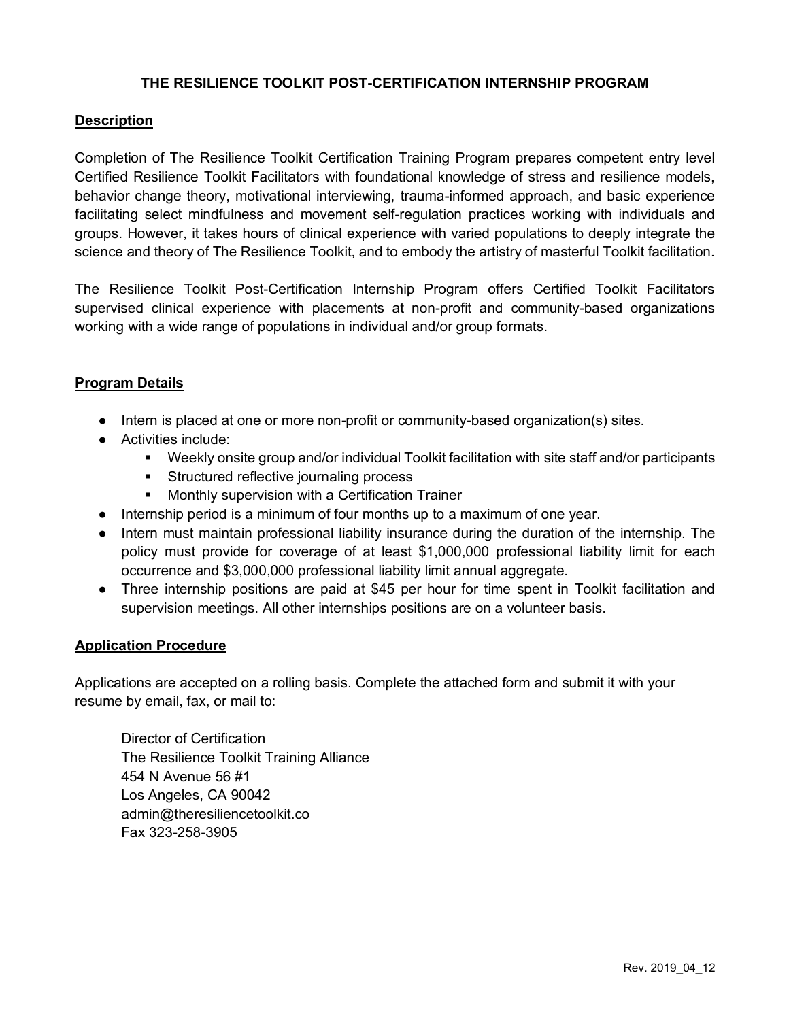## **THE RESILIENCE TOOLKIT POST-CERTIFICATION INTERNSHIP PROGRAM**

### **Description**

Completion of The Resilience Toolkit Certification Training Program prepares competent entry level Certified Resilience Toolkit Facilitators with foundational knowledge of stress and resilience models, behavior change theory, motivational interviewing, trauma-informed approach, and basic experience facilitating select mindfulness and movement self-regulation practices working with individuals and groups. However, it takes hours of clinical experience with varied populations to deeply integrate the science and theory of The Resilience Toolkit, and to embody the artistry of masterful Toolkit facilitation.

The Resilience Toolkit Post-Certification Internship Program offers Certified Toolkit Facilitators supervised clinical experience with placements at non-profit and community-based organizations working with a wide range of populations in individual and/or group formats.

#### **Program Details**

- Intern is placed at one or more non-profit or community-based organization(s) sites.
- Activities include:
	- § Weekly onsite group and/or individual Toolkit facilitation with site staff and/or participants
	- Structured reflective journaling process
	- Monthly supervision with a Certification Trainer
- Internship period is a minimum of four months up to a maximum of one year.
- Intern must maintain professional liability insurance during the duration of the internship. The policy must provide for coverage of at least \$1,000,000 professional liability limit for each occurrence and \$3,000,000 professional liability limit annual aggregate.
- Three internship positions are paid at \$45 per hour for time spent in Toolkit facilitation and supervision meetings. All other internships positions are on a volunteer basis.

#### **Application Procedure**

Applications are accepted on a rolling basis. Complete the attached form and submit it with your resume by email, fax, or mail to:

 Director of Certification The Resilience Toolkit Training Alliance 454 N Avenue 56 #1 Los Angeles, CA 90042 admin@theresiliencetoolkit.co Fax 323-258-3905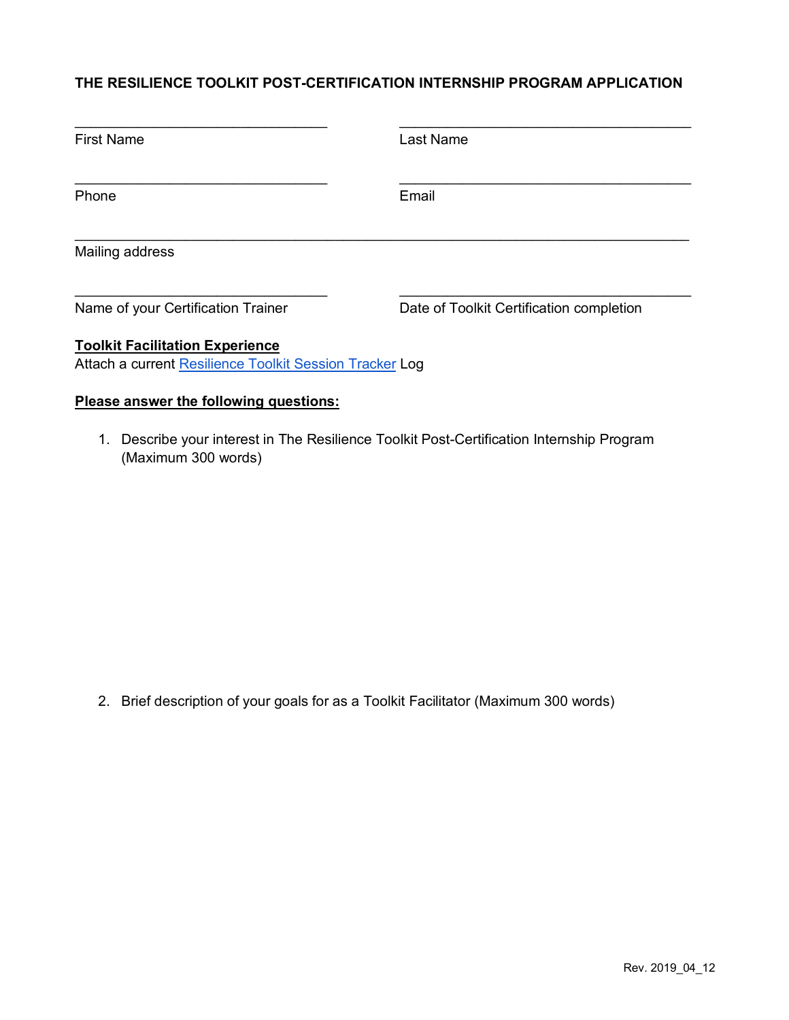## **THE RESILIENCE TOOLKIT POST-CERTIFICATION INTERNSHIP PROGRAM APPLICATION**

| <b>First Name</b>                      | <b>Last Name</b>                         |
|----------------------------------------|------------------------------------------|
| Phone                                  | Email                                    |
| Mailing address                        |                                          |
| Name of your Certification Trainer     | Date of Toolkit Certification completion |
| <b>Toolkit Facilitation Experience</b> |                                          |

Attach a current Resilience Toolkit Session Tracker Log

# **Please answer the following questions:**

1. Describe your interest in The Resilience Toolkit Post-Certification Internship Program (Maximum 300 words)

2. Brief description of your goals for as a Toolkit Facilitator (Maximum 300 words)